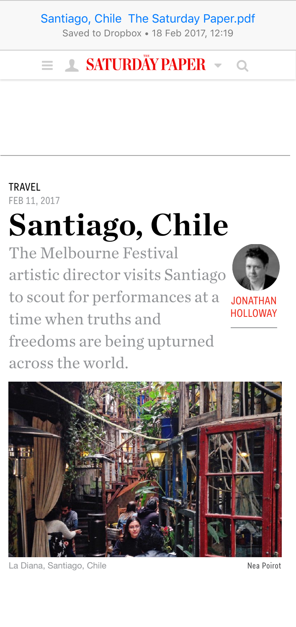#### [Santiago, Chile The Saturday Paper.pdf](https://www.thesaturdaypaper.com.au/2017/02/11/santiago-chile/14867316004199) Saved to Dropbox • 18 Feb 2017, 12:19

## $\equiv$  8 SATURDAY PAPER  $\sim$  0.

### [TRAVEL](https://www.thesaturdaypaper.com.au/life/travel)

FEB 11, 2017

# Santiago, Chile

The Melbourne Festival artistic director visits Santiago to scout for performances at a time when truths and freedoms are being upturned across the world.



JONATHAN **[HOLLOWAY](https://www.thesaturdaypaper.com.au/contributor/jonathan-holloway)** 



[La Diana, Sa](mailto:?subject=Santiago,%20Chile&body=Santiago,%20Chile%20%20https://www.thesaturdaypaper.com.au/2017/02/11/santiago-chile/14867316004199)[ntiago, Chile](http://www.facebook.com/sharer/sharer.php?u=https://www.thesaturdaypaper.com.au/2017/02/11/santiago-chile/14867316004199) Nearly Nearly Nearly Nearly Nearly Nearly Nearly Nearly Nearly Nearly Nearly Nearly Nearly Nearly Nearly Nearly Nearly Nearly Nearly Nearly Nearly Nearly Nearly Nearly Nearly Nearly Nearly Nearly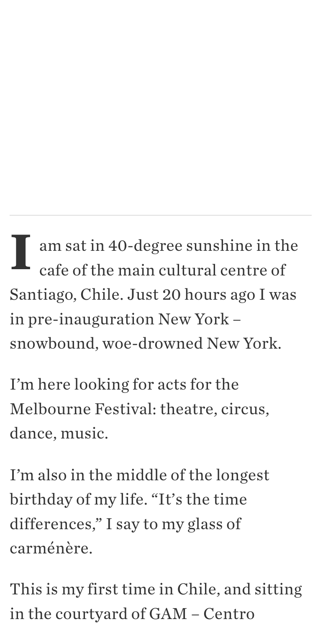am sat in 40-degree sunshine in the cafe of the main cultural centre of Santiago, Chile. Just 20 hours ago I was in pre-inauguration New York – snowbound, woe-drowned New York.

I'm here looking for acts for the Melbourne Festival: theatre, circus, dance, music.

I'm also in the middle of the longest birthday of my life. "It's the time differences," I say to my glass of carménère.

This is my first time in Chile, and sitting in the courtyard of GAM – Centro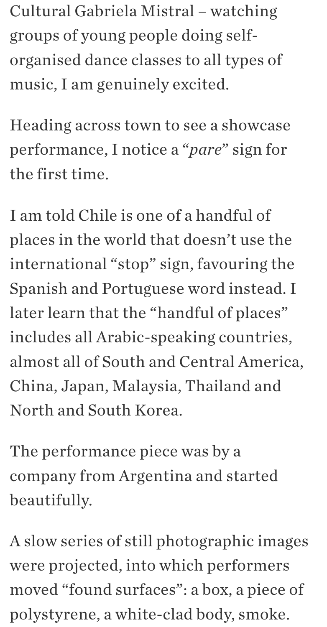Cultural Gabriela Mistral – watching groups of young people doing selforganised dance classes to all types of music, I am genuinely excited.

Heading across town to see a showcase performance, I notice a "*pare*" sign for the first time.

I am told Chile is one of a handful of places in the world that doesn't use the international "stop" sign, favouring the Spanish and Portuguese word instead. I later learn that the "handful of places" includes all Arabic-speaking countries, almost all of South and Central America, China, Japan, Malaysia, Thailand and North and South Korea.

The performance piece was by a company from Argentina and started beautifully.

A slow series of still photographic images were projected, into which performers moved "found surfaces": a box, a piece of polystyrene, a white-clad body, smoke.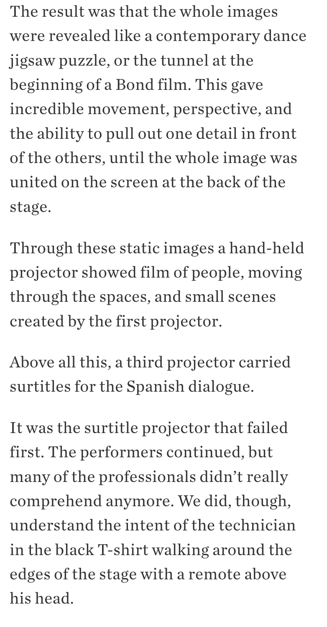The result was that the whole images were revealed like a contemporary dance jigsaw puzzle, or the tunnel at the beginning of a Bond film. This gave incredible movement, perspective, and the ability to pull out one detail in front of the others, until the whole image was united on the screen at the back of the stage.

Through these static images a hand-held projector showed film of people, moving through the spaces, and small scenes created by the first projector.

Above all this, a third projector carried surtitles for the Spanish dialogue.

It was the surtitle projector that failed first. The performers continued, but many of the professionals didn't really comprehend anymore. We did, though, understand the intent of the technician in the black T-shirt walking around the edges of the stage with a remote above his head.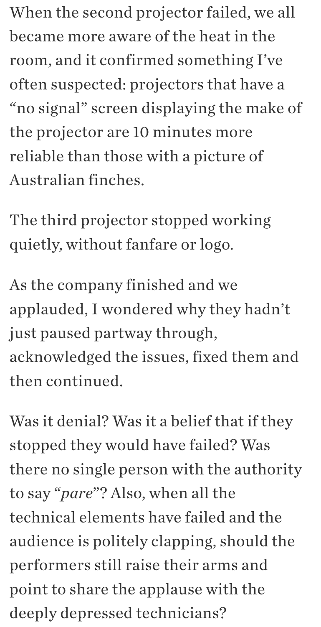When the second projector failed, we all became more aware of the heat in the room, and it confirmed something I've often suspected: projectors that have a "no signal" screen displaying the make of the projector are 10 minutes more reliable than those with a picture of Australian finches.

The third projector stopped working quietly, without fanfare or logo.

As the company finished and we applauded, I wondered why they hadn't just paused partway through, acknowledged the issues, fixed them and then continued.

Was it denial? Was it a belief that if they stopped they would have failed? Was there no single person with the authority to say "*pare*"? Also, when all the technical elements have failed and the audience is politely clapping, should the performers still raise their arms and point to share the applause with the deeply depressed technicians?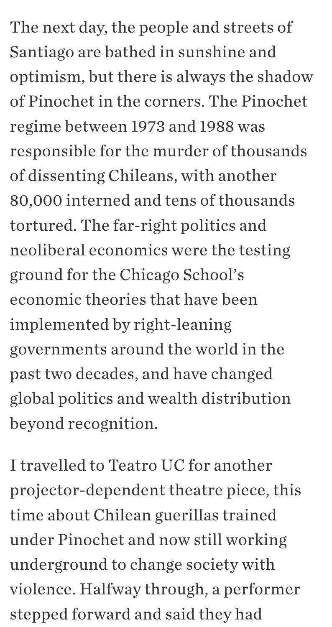The next day, the people and streets of Santiago are bathed in sunshine and optimism, but there is always the shadow of Pinochet in the corners. The Pinochet regime between 1973 and 1988 was responsible for the murder of thousands of dissenting Chileans, with another 80,000 interned and tens of thousands tortured. The far-right politics and neoliberal economics were the testing ground for the Chicago School's economic theories that have been implemented by right-leaning governments around the world in the past two decades, and have changed global politics and wealth distribution beyond recognition.

I travelled to Teatro UC for another projector-dependent theatre piece, this time about Chilean guerillas trained under Pinochet and now still working underground to change society with violence. Halfway through, a performer stepped forward and said they had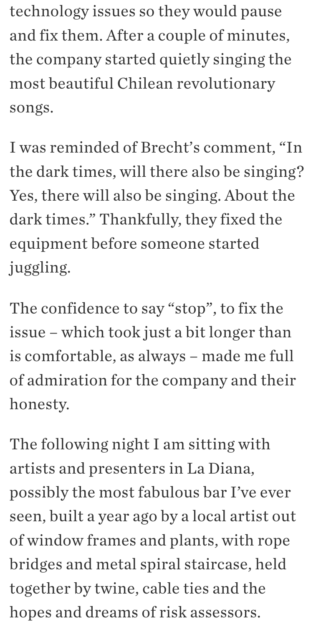technology issues so they would pause and fix them. After a couple of minutes, the company started quietly singing the most beautiful Chilean revolutionary songs.

I was reminded of Brecht's comment, "In the dark times, will there also be singing? Yes, there will also be singing. About the dark times." Thankfully, they fixed the equipment before someone started juggling.

The confidence to say "stop", to fix the issue – which took just a bit longer than is comfortable, as always – made me full of admiration for the company and their honesty.

The following night I am sitting with artists and presenters in La Diana, possibly the most fabulous bar I've ever seen, built a year ago by a local artist out of window frames and plants, with rope bridges and metal spiral staircase, held together by twine, cable ties and the hopes and dreams of risk assessors.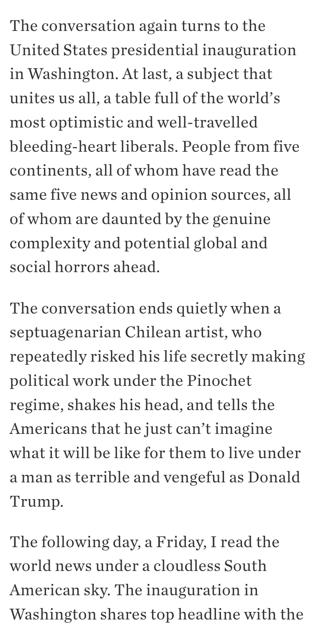The conversation again turns to the United States presidential inauguration in Washington. At last, a subject that unites us all, a table full of the world's most optimistic and well-travelled bleeding-heart liberals. People from five continents, all of whom have read the same five news and opinion sources, all of whom are daunted by the genuine complexity and potential global and social horrors ahead.

The conversation ends quietly when a septuagenarian Chilean artist, who repeatedly risked his life secretly making political work under the Pinochet regime, shakes his head, and tells the Americans that he just can't imagine what it will be like for them to live under a man as terrible and vengeful as Donald Trump.

The following day, a Friday, I read the world news under a cloudless South American sky. The inauguration in Washington shares top headline with the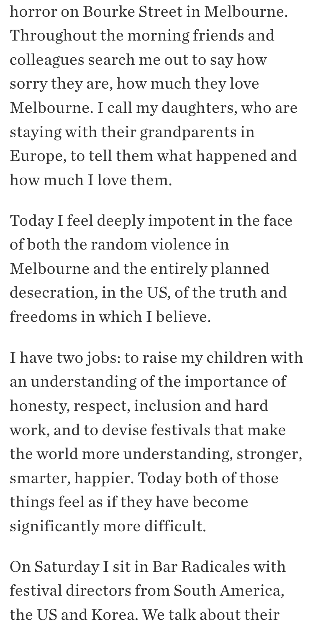horror on Bourke Street in Melbourne. Throughout the morning friends and colleagues search me out to say how sorry they are, how much they love Melbourne. I call my daughters, who are staying with their grandparents in Europe, to tell them what happened and how much I love them.

Today I feel deeply impotent in the face of both the random violence in Melbourne and the entirely planned desecration, in the US, of the truth and freedoms in which I believe.

I have two jobs: to raise my children with an understanding of the importance of honesty, respect, inclusion and hard work, and to devise festivals that make the world more understanding, stronger, smarter, happier. Today both of those things feel as if they have become significantly more difficult.

On Saturday I sit in Bar Radicales with festival directors from South America, the US and Korea. We talk about their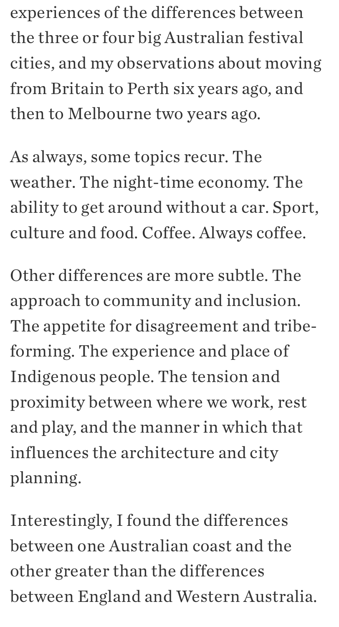experiences of the differences between the three or four big Australian festival cities, and my observations about moving from Britain to Perth six years ago, and then to Melbourne two years ago.

As always, some topics recur. The weather. The night-time economy. The ability to get around without a car. Sport, culture and food. Coffee. Always coffee.

Other differences are more subtle. The approach to community and inclusion. The appetite for disagreement and tribeforming. The experience and place of Indigenous people. The tension and proximity between where we work, rest and play, and the manner in which that influences the architecture and city planning.

Interestingly, I found the differences between one Australian coast and the other greater than the differences between England and Western Australia.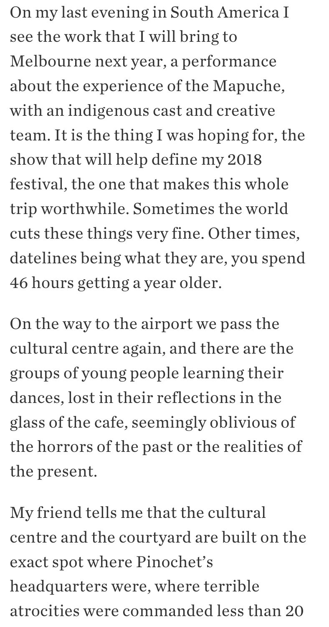On my last evening in South America I see the work that I will bring to Melbourne next year, a performance about the experience of the Mapuche, with an indigenous cast and creative team. It is the thing I was hoping for, the show that will help define my 2018 festival, the one that makes this whole trip worthwhile. Sometimes the world cuts these things very fine. Other times, datelines being what they are, you spend 46 hours getting a year older.

On the way to the airport we pass the cultural centre again, and there are the groups of young people learning their dances, lost in their reflections in the glass of the cafe, seemingly oblivious of the horrors of the past or the realities of the present.

My friend tells me that the cultural centre and the courtyard are built on the exact spot where Pinochet's headquarters were, where terrible atrocities were commanded less than 20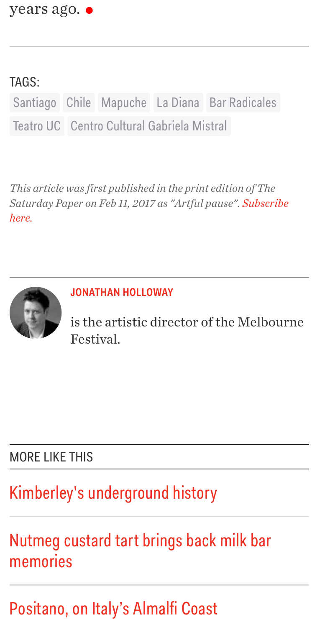## TAGS:

[Santiago](https://www.thesaturdaypaper.com.au/tag/santiago) [Chile](https://www.thesaturdaypaper.com.au/tag/chile) [Mapuche](https://www.thesaturdaypaper.com.au/tag/mapuche) [La Diana](https://www.thesaturdaypaper.com.au/tag/la-diana) [Bar Radicales](https://www.thesaturdaypaper.com.au/tag/bar-radicales) [Teatro UC](https://www.thesaturdaypaper.com.au/tag/teatro-uc) [Centro Cultural Gabriela Mistral](https://www.thesaturdaypaper.com.au/tag/centro-cultural-gabriela-mistral)

*This article was first published in the print edition of The [Saturday Paper on Feb 11, 2017 as "Artful pause". Subscribe](https://www.thesaturdaypaper.com.au/subscribe) here.*



**[JONATHAN HOLLOWAY](https://www.thesaturdaypaper.com.au/contributor/jonathan-holloway)**

[is the artistic director of the Melbourne](https://www.thesaturdaypaper.com.au/contributor/jonathan-holloway) Festival.

## MORE LIKE THIS

## [Kimberley's underground history](https://www.thesaturdaypaper.com.au/2015/06/13/kimberleys-underground-history/14341176001982)

## [Nutmeg custard tart brings back milk bar](https://www.thesaturdaypaper.com.au/2015/04/30/nutmeg-custard-tart-brings-back-milk-bar-memories/14280660001698) memories

## [Positano, on Italy's Almalfi Coast](https://www.thesaturdaypaper.com.au/2015/06/20/positano-italys-almalfi-coast/14347224002021)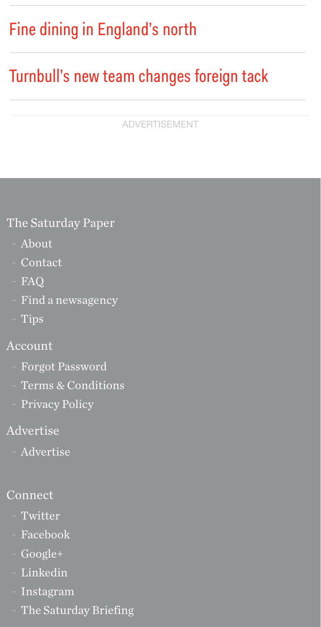## [Fine dining in England's north](https://www.thesaturdaypaper.com.au/life/food/2016/08/20/fine-dining-englands-north/14716152003615)

## [Turnbull's new team changes foreign tack](https://www.thesaturdaypaper.com.au/world/asia-pacific/2015/12/05/turnbulls-new-team-changes-foreign-tack/14492340002711)

ADVERTISEMENT

The Saturday Paper

- [About](https://www.thesaturdaypaper.com.au/about)
- [Contact](https://www.thesaturdaypaper.com.au/contact)
- [FAQ](https://help.schwartzmedia.com.au/)
- [Find a newsagency](https://www.thesaturdaypaper.com.au/find)
- **[Tips](https://www.thesaturdaypaper.com.au/tips)**

#### Account

- [Forgot Password](https://account.schwartzmedia.com.au/user/password)
- [Terms & Conditions](http://www.thesaturdaypaper.com.au/terms-conditions)
- [Privacy Policy](http://www.schwartzmedia.com.au/privacy-policy)

#### Advertise

[Advertise](http://www.schwartzmedia.com.au/advertise/)

#### Connect

- [Twitter](http://www.twitter.com/SatPaper)
- [Facebook](http://www.facebook.com/TheSaturdayPaper)
- [Google+](https://plus.google.com/102197287350911038080)
- [Linkedin](http://www.linkedin.com/company/the-saturday-paper/)
- [Instagram](http://instagram.com/satpaper)
- [The Saturday Briefing](http://thesaturdaypaper.com.au/thesaturdaybriefing/)